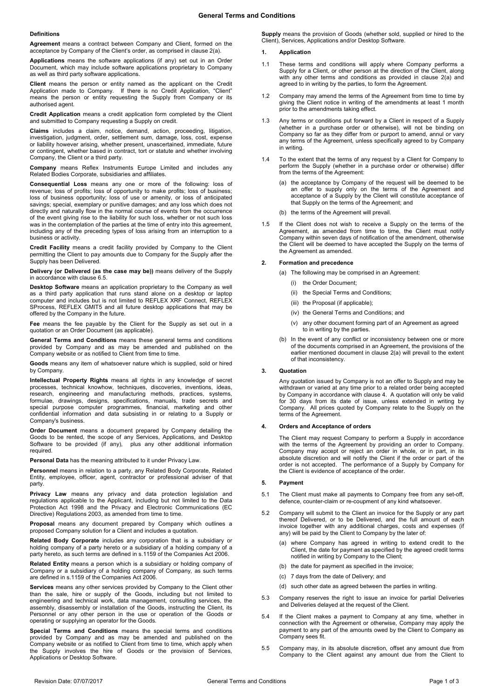#### **Definitions**

**Agreement** means a contract between Company and Client, formed on the acceptance by Company of the Client's order, as comprised in claus[e 2\(a\).](#page-0-0)

**Applications** means the software applications (if any) set out in an Order Document, which may include software applications proprietary to Company as well as third party software applications.

**Client** means the person or entity named as the applicant on the Credit Application made to Company. If there is no Credit Application, "Client" means the person or entity requesting the Supply from Company or its authorised agent.

**Credit Application** means a credit application form completed by the Client and submitted to Company requesting a Supply on credit.

**Claims** includes a claim, notice, demand, action, proceeding, litigation, investigation, judgment, order, settlement sum, damage, loss, cost, expense or liability however arising, whether present, unascertained, immediate, future or contingent, whether based in contract, tort or statute and whether involving Company, the Client or a third party.

**Company** means Reflex Instruments Europe Limited and includes any Related Bodies Corporate, subsidiaries and affiliates.

**Consequential Loss** means any one or more of the following: loss of revenue; loss of profits; loss of opportunity to make profits; loss of business; loss of business opportunity; loss of use or amenity, or loss of anticipated savings; special, exemplary or punitive damages; and any loss which does not directly and naturally flow in the normal course of events from the occurrence of the event giving rise to the liability for such loss, whether or not such loss was in the contemplation of the parties at the time of entry into this agreement, including any of the preceding types of loss arising from an interruption to a business or activity.

**Credit Facility** means a credit facility provided by Company to the Client permitting the Client to pay amounts due to Company for the Supply after the Supply has been Delivered.

**Delivery (or Delivered (as the case may be))** means delivery of the Supply in accordance with claus[e 6.5.](#page-1-0)

**Desktop Software** means an application proprietary to the Company as well as a third party application that runs stand alone on a desktop or laptop computer and includes but is not limited to REFLEX XRF Connect, REFLEX SProcess, REFLEX GMIT5 and all future desktop applications that may be offered by the Company in the future.

**Fee** means the fee payable by the Client for the Supply as set out in a quotation or an Order Document (as applicable).

**General Terms and Conditions** means these general terms and conditions provided by Company and as may be amended and published on the Company website or as notified to Client from time to time.

**Goods** means any item of whatsoever nature which is supplied, sold or hired by Company.

**Intellectual Property Rights** means all rights in any knowledge of secret processes, technical knowhow, techniques, discoveries, inventions, ideas, research, engineering and manufacturing methods, practices, systems, formulae, drawings, designs, specifications, manuals, trade secrets and special purpose computer programmes, financial, marketing and other confidential information and data subsisting in or relating to a Supply or Company's business.

**Order Document** means a document prepared by Company detailing the Goods to be rented, the scope of any Services, Applications, and Desktop Software to be provided (if any), plus any other additional information required.

**Personal Data** has the meaning attributed to it under Privacy Law.

**Personnel** means in relation to a party, any Related Body Corporate, Related Entity, employee, officer, agent, contractor or professional adviser of that party.

**Privacy Law** means any privacy and data protection legislation and regulations applicable to the Applicant, including but not limited to the Data Protection Act 1998 and the Privacy and Electronic Communications (EC Directive) Regulations 2003, as amended from time to time.

**Proposal** means any document prepared by Company which outlines a proposed Company solution for a Client and includes a quotation.

**Related Body Corporate** includes any corporation that is a subsidiary or holding company of a party hereto or a subsidiary of a holding company of a party hereto, as such terms are defined in s.1159 of the Companies Act 2006.

**Related Entity** means a person which is a subsidiary or holding company of Company or a subsidiary of a holding company of Company, as such terms are defined in s.1159 of the Companies Act 2006.

**Services** means any other services provided by Company to the Client other than the sale, hire or supply of the Goods, including but not limited to engineering and technical work, data management, consulting services, the assembly, disassembly or installation of the Goods, instructing the Client, its Personnel or any other person in the use or operation of the Goods or operating or supplying an operator for the Goods.

**Special Terms and Conditions** means the special terms and conditions provided by Company and as may be amended and published on the Company website or as notified to Client from time to time, which apply when the Supply involves the hire of Goods or the provision of Services, Applications or Desktop Software.

**Supply** means the provision of Goods (whether sold, supplied or hired to the Client), Services, Applications and/or Desktop Software.

## **1. Application**

- 1.1 These terms and conditions will apply where Company performs a Supply for a Client, or other person at the direction of the Client, along with any other terms and conditions as provided in clause 2(a) and agreed to in writing by the parties, to form the Agreement.
- 1.2 Company may amend the terms of the Agreement from time to time by giving the Client notice in writing of the amendments at least 1 month prior to the amendments taking effect.
- 1.3 Any terms or conditions put forward by a Client in respect of a Supply (whether in a purchase order or otherwise), will not be binding on Company so far as they differ from or purport to amend, annul or vary any terms of the Agreement, unless specifically agreed to by Company in writing.
- 1.4 To the extent that the terms of any request by a Client for Company to perform the Supply (whether in a purchase order or otherwise) differ from the terms of the Agreement:
	- (a) the acceptance by Company of the request will be deemed to be an offer to supply only on the terms of the Agreement and acceptance of a Supply by the Client will constitute acceptance of that Supply on the terms of the Agreement; and
	- (b) the terms of the Agreement will prevail.
- 1.5 If the Client does not wish to receive a Supply on the terms of the Agreement, as amended from time to time, the Client must notify Company within seven days of notification of the amendment, otherwise the Client will be deemed to have accepted the Supply on the terms of the Agreement as amended.

#### <span id="page-0-0"></span>**2. Formation and precedence**

- (a) The following may be comprised in an Agreement:
	- (i) the Order Document;
	- (ii) the Special Terms and Conditions;
	- (iii) the Proposal (if applicable);
	- (iv) the General Terms and Conditions; and
	- (v) any other document forming part of an Agreement as agreed to in writing by the parties.
- (b) In the event of any conflict or inconsistency between one or more of the documents comprised in an Agreement, the provisions of the earlier mentioned document in clause [2\(a\)](#page-0-0) will prevail to the extent of that inconsistency.

#### **3. Quotation**

Any quotation issued by Company is not an offer to Supply and may be withdrawn or varied at any time prior to a related order being accepted by Company in accordance with clause [4.](#page-0-1) A quotation will only be valid for 30 days from its date of issue, unless extended in writing by Company. All prices quoted by Company relate to the Supply on the terms of the Agreement.

#### <span id="page-0-1"></span>**4. Orders and Acceptance of orders**

The Client may request Company to perform a Supply in accordance with the terms of the Agreement by providing an order to Company. Company may accept or reject an order in whole, or in part, in its absolute discretion and will notify the Client if the order or part of the order is not accepted. The performance of a Supply by Company for the Client is evidence of acceptance of the order.

#### **5. Payment**

- 5.1 The Client must make all payments to Company free from any set-off, defence, counter-claim or re-coupment of any kind whatsoever.
- 5.2 Company will submit to the Client an invoice for the Supply or any part thereof Delivered, or to be Delivered, and the full amount of each invoice together with any additional charges, costs and expenses (if any) will be paid by the Client to Company by the later of:
	- (a) where Company has agreed in writing to extend credit to the Client, the date for payment as specified by the agreed credit terms notified in writing by Company to the Client;
	- (b) the date for payment as specified in the invoice;
	- (c) 7 days from the date of Delivery; and
	- (d) such other date as agreed between the parties in writing.
- 5.3 Company reserves the right to issue an invoice for partial Deliveries and Deliveries delayed at the request of the Client.
- 5.4 If the Client makes a payment to Company at any time, whether in connection with the Agreement or otherwise, Company may apply the payment to any part of the amounts owed by the Client to Company as Company sees fit.
- 5.5 Company may, in its absolute discretion, offset any amount due from Company to the Client against any amount due from the Client to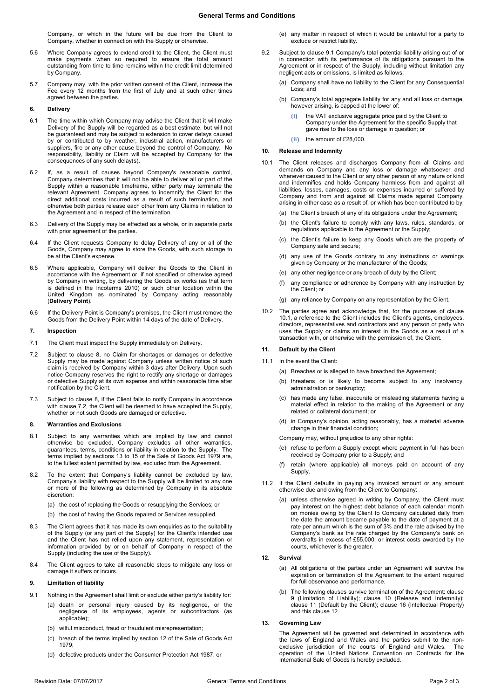Company, or which in the future will be due from the Client to Company, whether in connection with the Supply or otherwise.

- 5.6 Where Company agrees to extend credit to the Client, the Client must make payments when so required to ensure the total amount outstanding from time to time remains within the credit limit determined by Company.
- 5.7 Company may, with the prior written consent of the Client, increase the Fee every 12 months from the first of July and at such other times agreed between the parties.

## **6. Delivery**

- 6.1 The time within which Company may advise the Client that it will make Delivery of the Supply will be regarded as a best estimate, but will not be guaranteed and may be subject to extension to cover delays caused by or contributed to by weather, industrial action, manufacturers or suppliers, fire or any other cause beyond the control of Company. No responsibility, liability or Claim will be accepted by Company for the consequences of any such delay(s).
- 6.2 If, as a result of causes beyond Company's reasonable control, Company determines that it will not be able to deliver all or part of the Supply within a reasonable timeframe, either party may terminate the relevant Agreement. Company agrees to indemnify the Client for the direct additional costs incurred as a result of such termination, and otherwise both parties release each other from any Claims in relation to the Agreement and in respect of the termination.
- 6.3 Delivery of the Supply may be effected as a whole, or in separate parts with prior agreement of the parties.
- 6.4 If the Client requests Company to delay Delivery of any or all of the Goods, Company may agree to store the Goods, with such storage to be at the Client's expense.
- <span id="page-1-0"></span>6.5 Where applicable, Company will deliver the Goods to the Client in accordance with the Agreement or, if not specified or otherwise agreed by Company in writing, by delivering the Goods ex works (as that term is defined in the Incoterms 2010) or such other location within the United Kingdom as nominated by Company acting reasonably (**Delivery Point**).
- 6.6 If the Delivery Point is Company's premises, the Client must remove the Goods from the Delivery Point within 14 days of the date of Delivery.

### **7. Inspection**

- 7.1 The Client must inspect the Supply immediately on Delivery.
- <span id="page-1-2"></span>7.2 Subject to clause [8,](#page-1-1) no Claim for shortages or damages or defective Supply may be made against Company unless written notice of such claim is received by Company within 3 days after Delivery. Upon such notice Company reserves the right to rectify any shortage or damages or defective Supply at its own expense and within reasonable time after notification by the Client.
- 7.3 Subject to clause [8,](#page-1-1) if the Client fails to notify Company in accordance with clause [7.2,](#page-1-2) the Client will be deemed to have accepted the Supply, whether or not such Goods are damaged or defective.

### <span id="page-1-1"></span>**8. Warranties and Exclusions**

- 8.1 Subject to any warranties which are implied by law and cannot otherwise be excluded, Company excludes all other warranties, guarantees, terms, conditions or liability in relation to the Supply. The terms implied by sections 13 to 15 of the Sale of Goods Act 1979 are, to the fullest extent permitted by law, excluded from the Agreement.
- 8.2 To the extent that Company's liability cannot be excluded by law, Company's liability with respect to the Supply will be limited to any one or more of the following as determined by Company in its absolute discretion:
	- (a) the cost of replacing the Goods or resupplying the Services; or
	- (b) the cost of having the Goods repaired or Services resupplied.
- 8.3 The Client agrees that it has made its own enquiries as to the suitability of the Supply (or any part of the Supply) for the Client's intended use and the Client has not relied upon any statement, representation or information provided by or on behalf of Company in respect of the Supply (including the use of the Supply).
- 8.4 The Client agrees to take all reasonable steps to mitigate any loss or damage it suffers or incurs.

## <span id="page-1-5"></span>**9. Limitation of liability**

- <span id="page-1-3"></span>9.1 Nothing in the Agreement shall limit or exclude either party's liability for:
	- (a) death or personal injury caused by its negligence, or the negligence of its employees, agents or subcontractors (as applicable);
	- (b) wilful misconduct, fraud or fraudulent misrepresentation;
	- (c) breach of the terms implied by section 12 of the Sale of Goods Act 1979;
	- (d) defective products under the Consumer Protection Act 1987; or
- (e) any matter in respect of which it would be unlawful for a party to exclude or restrict liability.
- 9.2 Subject to clause [9.1](#page-1-3) Company's total potential liability arising out of or in connection with its performance of its obligations pursuant to the Agreement or in respect of the Supply, including without limitation any negligent acts or omissions, is limited as follows:
	- (a) Company shall have no liability to the Client for any Consequential Loss; and
	- Company's total aggregate liability for any and all loss or damage, however arising, is capped at the lower of:
		- **(i)** the VAT exclusive aggregate price paid by the Client to Company under the Agreement for the specific Supply that gave rise to the loss or damage in question; or
		- **(ii)** the amount of £28,000.

### <span id="page-1-6"></span>**10. Release and Indemnity**

- <span id="page-1-4"></span>10.1 The Client releases and discharges Company from all Claims and demands on Company and any loss or damage whatsoever and whenever caused to the Client or any other person of any nature or kind and indemnifies and holds Company harmless from and against all liabilities, losses, damages, costs or expenses incurred or suffered by Company and from and against all Claims made against Company, arising in either case as a result of, or which has been contributed to by:
	- (a) the Client's breach of any of its obligations under the Agreement:
	- (b) the Client's failure to comply with any laws, rules, standards, or regulations applicable to the Agreement or the Supply;
	- (c) the Client's failure to keep any Goods which are the property of Company safe and secure;
	- (d) any use of the Goods contrary to any instructions or warnings given by Company or the manufacturer of the Goods;
	- (e) any other negligence or any breach of duty by the Client;
	- (f) any compliance or adherence by Company with any instruction by the Client; or
	- (g) any reliance by Company on any representation by the Client.
- 10.2 The parties agree and acknowledge that, for the purposes of clause [10.1,](#page-1-4) a reference to the Client includes the Client's agents, employees, directors, representatives and contractors and any person or party who uses the Supply or claims an interest in the Goods as a result of a transaction with, or otherwise with the permission of, the Client.

# <span id="page-1-7"></span>**11. Default by the Client**

## 11.1 In the event the Clients

- (a) Breaches or is alleged to have breached the Agreement;
- (b) threatens or is likely to become subject to any insolvency, administration or bankruptcy;
- (c) has made any false, inaccurate or misleading statements having a material effect in relation to the making of the Agreement or any related or collateral document; or
- (d) in Company's opinion, acting reasonably, has a material adverse change in their financial condition;
- Company may, without prejudice to any other rights:
- (e) refuse to perform a Supply except where payment in full has been received by Company prior to a Supply; and
- (f) retain (where applicable) all moneys paid on account of any Supply.
- 11.2 If the Client defaults in paying any invoiced amount or any amount otherwise due and owing from the Client to Company:
	- unless otherwise agreed in writing by Company, the Client must pay interest on the highest debt balance of each calendar month on monies owing by the Client to Company calculated daily from the date the amount became payable to the date of payment at a rate per annum which is the sum of 3% and the rate advised by the Company's bank as the rate charged by the Company's bank on overdrafts in excess of £55,000; or interest costs awarded by the courts, whichever is the greater.

#### <span id="page-1-8"></span>**12. Survival**

- (a) All obligations of the parties under an Agreement will survive the expiration or termination of the Agreement to the extent required for full observance and performance.
- (b) The following clauses survive termination of the Agreement: clause [9](#page-1-5) (Limitation of Liability); clause [10](#page-1-6) (Release and Indemnity); clause [11](#page-1-7) (Default by the Client); clause 16 (Intellectual Property) and this claus[e 12.](#page-1-8)

#### **13. Governing Law**

The Agreement will be governed and determined in accordance with the laws of England and Wales and the parties submit to the nonexclusive jurisdiction of the courts of England and Wales. The operation of the United Nations Convention on Contracts for the International Sale of Goods is hereby excluded.